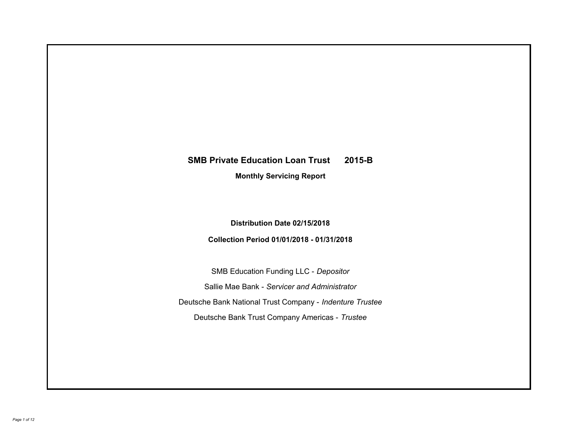# **SMB Private Education Loan Trust 2015-B Monthly Servicing Report**

**Distribution Date 02/15/2018**

**Collection Period 01/01/2018 - 01/31/2018**

SMB Education Funding LLC - *Depositor* Sallie Mae Bank - *Servicer and Administrator* Deutsche Bank National Trust Company - *Indenture Trustee* Deutsche Bank Trust Company Americas - *Trustee*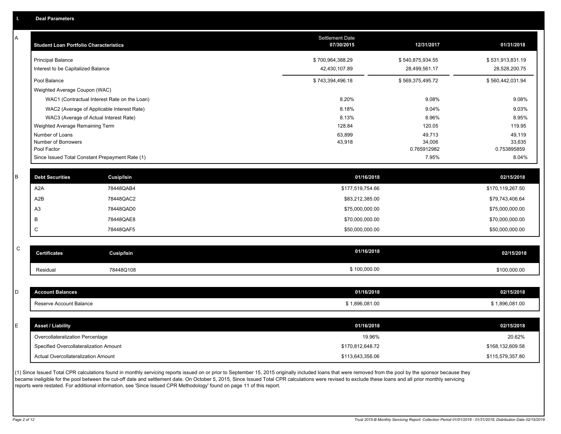A

| <b>Student Loan Portfolio Characteristics</b>                  | <b>Settlement Date</b><br>07/30/2015 | 12/31/2017                        | 01/31/2018                        |
|----------------------------------------------------------------|--------------------------------------|-----------------------------------|-----------------------------------|
| <b>Principal Balance</b><br>Interest to be Capitalized Balance | \$700,964,388.29<br>42,430,107.89    | \$540,875,934.55<br>28,499,561.17 | \$531,913,831.19<br>28,528,200.75 |
| Pool Balance                                                   | \$743,394,496.18                     | \$569,375,495.72                  | \$560,442,031.94                  |
| Weighted Average Coupon (WAC)                                  |                                      |                                   |                                   |
| WAC1 (Contractual Interest Rate on the Loan)                   | 8.20%                                | 9.08%                             | 9.08%                             |
| WAC2 (Average of Applicable Interest Rate)                     | 8.18%                                | 9.04%                             | 9.03%                             |
| WAC3 (Average of Actual Interest Rate)                         | 8.13%                                | 8.96%                             | 8.95%                             |
| Weighted Average Remaining Term                                | 128.84                               | 120.05                            | 119.95                            |
| Number of Loans                                                | 63,899                               | 49,713                            | 49,119                            |
| Number of Borrowers                                            | 43,918                               | 34,006                            | 33,635                            |
| Pool Factor                                                    |                                      | 0.765912982                       | 0.753895859                       |
| Since Issued Total Constant Prepayment Rate (1)                |                                      | 7.95%                             | 8.04%                             |

| <b>Debt Securities</b> | Cusip/Isin | 01/16/2018       | 02/15/2018       |
|------------------------|------------|------------------|------------------|
| A2A                    | 78448QAB4  | \$177,519,754.66 | \$170,119,267.50 |
| A2B                    | 78448QAC2  | \$83,212,385.00  | \$79,743,406.64  |
| A <sub>3</sub>         | 78448QAD0  | \$75,000,000.00  | \$75,000,000.00  |
|                        | 78448QAE8  | \$70,000,000.00  | \$70,000,000.00  |
| ◡                      | 78448QAF5  | \$50,000,000.00  | \$50,000,000.00  |
|                        |            |                  |                  |

| $\sim$<br>◡ | <b>Certificates</b> | <b>Cusip/Isin</b> | 01/16/2018 | 02/15/2018   |
|-------------|---------------------|-------------------|------------|--------------|
|             | Residual            | 78448Q108         | 100,000.00 | \$100.000.00 |

| count Balances          | 01/16/2018   | 02/15/2018     |
|-------------------------|--------------|----------------|
| Reserve Account Balance | 1,896,081.00 | ້ 1,896,081.0∪ |

| <b>Asset / Liability</b>                   | 01/16/2018       | 02/15/2018       |
|--------------------------------------------|------------------|------------------|
| Overcollateralization Percentage           | 19.96%           | 20.62%           |
| Specified Overcollateralization Amount     | \$170,812,648.72 | \$168,132,609.58 |
| <b>Actual Overcollateralization Amount</b> | \$113,643,356.06 | \$115,579,357.80 |

(1) Since Issued Total CPR calculations found in monthly servicing reports issued on or prior to September 15, 2015 originally included loans that were removed from the pool by the sponsor because they became ineligible for the pool between the cut-off date and settlement date. On October 5, 2015, Since Issued Total CPR calculations were revised to exclude these loans and all prior monthly servicing reports were restated. For additional information, see 'Since Issued CPR Methodology' found on page 11 of this report.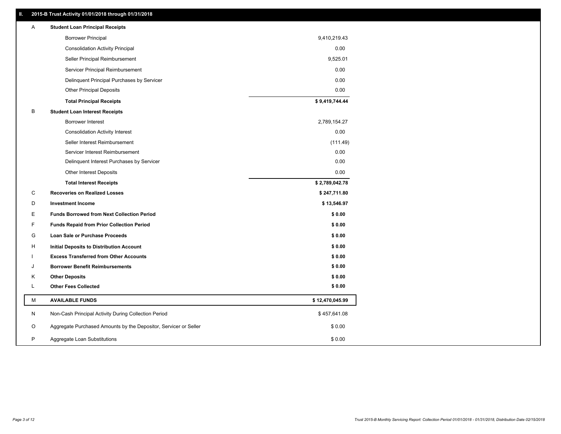# **II. 2015-B Trust Activity 01/01/2018 through 01/31/2018**

| Α | <b>Student Loan Principal Receipts</b>                           |                 |
|---|------------------------------------------------------------------|-----------------|
|   | <b>Borrower Principal</b>                                        | 9,410,219.43    |
|   | <b>Consolidation Activity Principal</b>                          | 0.00            |
|   | Seller Principal Reimbursement                                   | 9,525.01        |
|   | Servicer Principal Reimbursement                                 | 0.00            |
|   | Delinquent Principal Purchases by Servicer                       | 0.00            |
|   | <b>Other Principal Deposits</b>                                  | 0.00            |
|   | <b>Total Principal Receipts</b>                                  | \$9,419,744.44  |
| B | <b>Student Loan Interest Receipts</b>                            |                 |
|   | <b>Borrower Interest</b>                                         | 2,789,154.27    |
|   | <b>Consolidation Activity Interest</b>                           | 0.00            |
|   | Seller Interest Reimbursement                                    | (111.49)        |
|   | Servicer Interest Reimbursement                                  | 0.00            |
|   | Delinquent Interest Purchases by Servicer                        | 0.00            |
|   | Other Interest Deposits                                          | 0.00            |
|   | <b>Total Interest Receipts</b>                                   | \$2,789,042.78  |
| С | <b>Recoveries on Realized Losses</b>                             | \$247,711.80    |
| D | <b>Investment Income</b>                                         | \$13,546.97     |
| E | <b>Funds Borrowed from Next Collection Period</b>                | \$0.00          |
| F | <b>Funds Repaid from Prior Collection Period</b>                 | \$0.00          |
| G | <b>Loan Sale or Purchase Proceeds</b>                            | \$0.00          |
| н | <b>Initial Deposits to Distribution Account</b>                  | \$0.00          |
|   | <b>Excess Transferred from Other Accounts</b>                    | \$0.00          |
| J | <b>Borrower Benefit Reimbursements</b>                           | \$0.00          |
| Κ | <b>Other Deposits</b>                                            | \$0.00          |
| Г | <b>Other Fees Collected</b>                                      | \$0.00          |
| M | <b>AVAILABLE FUNDS</b>                                           | \$12,470,045.99 |
| N | Non-Cash Principal Activity During Collection Period             | \$457,641.08    |
| O | Aggregate Purchased Amounts by the Depositor, Servicer or Seller | \$0.00          |
| P | Aggregate Loan Substitutions                                     | \$0.00          |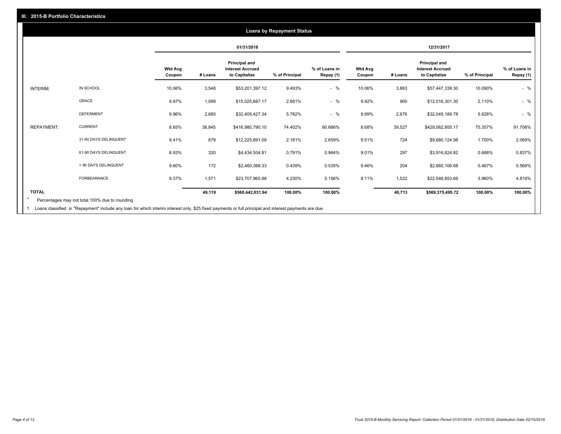|                   |                       |                          |         | 01/31/2018                                                       |                |                            | 12/31/2017               |         |                                                           |                |                            |
|-------------------|-----------------------|--------------------------|---------|------------------------------------------------------------------|----------------|----------------------------|--------------------------|---------|-----------------------------------------------------------|----------------|----------------------------|
|                   |                       | <b>Wtd Avg</b><br>Coupon | # Loans | <b>Principal and</b><br><b>Interest Accrued</b><br>to Capitalize | % of Principal | % of Loans in<br>Repay (1) | <b>Wtd Avg</b><br>Coupon | # Loans | Principal and<br><b>Interest Accrued</b><br>to Capitalize | % of Principal | % of Loans in<br>Repay (1) |
| <b>INTERIM:</b>   | IN SCHOOL             | 10.06%                   | 3,548   | \$53,201,397.12                                                  | 9.493%         | $-$ %                      | 10.06%                   | 3,863   | \$57,447,339.30                                           | 10.090%        | $-$ %                      |
|                   | GRACE                 | 9.97%                    | 1,099   | \$15,025,687.17                                                  | 2.681%         | $-$ %                      | 9.92%                    | 900     | \$12,016,301.30                                           | 2.110%         | $-$ %                      |
|                   | <b>DEFERMENT</b>      | 9.96%                    | 2,685   | \$32,405,427.34                                                  | 5.782%         | $-$ %                      | 9.99%                    | 2,676   | \$32,045,189.78                                           | 5.628%         | $-$ %                      |
| <b>REPAYMENT:</b> | <b>CURRENT</b>        | 8.65%                    | 38,845  | \$416,980,790.10                                                 | 74.402%        | 90.686%                    | 8.68%                    | 39,527  | \$429,062,955.17                                          | 75.357%        | 91.706%                    |
|                   | 31-60 DAYS DELINQUENT | 9.41%                    | 879     | \$12,225,891.09                                                  | 2.181%         | 2.659%                     | 9.51%                    | 724     | \$9,680,124.98                                            | 1.700%         | 2.069%                     |
|                   | 61-90 DAYS DELINQUENT | 8.93%                    | 320     | \$4,434,504.81                                                   | 0.791%         | 0.964%                     | 9.01%                    | 297     | \$3,916,624.82                                            | 0.688%         | 0.837%                     |
|                   | > 90 DAYS DELINQUENT  | 9.60%                    | 172     | \$2,460,368.33                                                   | 0.439%         | 0.535%                     | 9.46%                    | 204     | \$2,660,106.68                                            | 0.467%         | 0.569%                     |
|                   | <b>FORBEARANCE</b>    | 9.37%                    | 1,571   | \$23,707,965.98                                                  | 4.230%         | 5.156%                     | 9.11%                    | 1,522   | \$22,546,853.69                                           | 3.960%         | 4.819%                     |
| <b>TOTAL</b>      |                       |                          | 49,119  | \$560,442,031.94                                                 | 100.00%        | 100.00%                    |                          | 49,713  | \$569,375,495.72                                          | 100.00%        | 100.00%                    |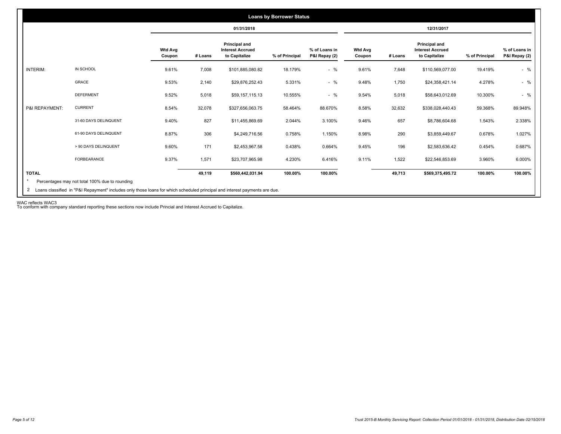|                 |                                                |                          |         |                                                           | <b>Loans by Borrower Status</b> |                                |                          |         |                                                                  |                |                                |
|-----------------|------------------------------------------------|--------------------------|---------|-----------------------------------------------------------|---------------------------------|--------------------------------|--------------------------|---------|------------------------------------------------------------------|----------------|--------------------------------|
|                 |                                                |                          |         | 01/31/2018                                                |                                 |                                |                          |         | 12/31/2017                                                       |                |                                |
|                 |                                                | <b>Wtd Avg</b><br>Coupon | # Loans | Principal and<br><b>Interest Accrued</b><br>to Capitalize | % of Principal                  | % of Loans in<br>P&I Repay (2) | <b>Wtd Avg</b><br>Coupon | # Loans | <b>Principal and</b><br><b>Interest Accrued</b><br>to Capitalize | % of Principal | % of Loans in<br>P&I Repay (2) |
| <b>INTERIM:</b> | IN SCHOOL                                      | 9.61%                    | 7,008   | \$101,885,080.82                                          | 18.179%                         | $-$ %                          | 9.61%                    | 7,648   | \$110,569,077.00                                                 | 19.419%        | $-$ %                          |
|                 | GRACE                                          | 9.53%                    | 2,140   | \$29,876,252.43                                           | 5.331%                          | $-$ %                          | 9.48%                    | 1,750   | \$24,358,421.14                                                  | 4.278%         | $-$ %                          |
|                 | <b>DEFERMENT</b>                               | 9.52%                    | 5,018   | \$59,157,115.13                                           | 10.555%                         | $-$ %                          | 9.54%                    | 5,018   | \$58,643,012.69                                                  | 10.300%        | $-$ %                          |
| P&I REPAYMENT:  | <b>CURRENT</b>                                 | 8.54%                    | 32,078  | \$327,656,063.75                                          | 58.464%                         | 88.670%                        | 8.58%                    | 32,632  | \$338,028,440.43                                                 | 59.368%        | 89.948%                        |
|                 | 31-60 DAYS DELINQUENT                          | 9.40%                    | 827     | \$11,455,869.69                                           | 2.044%                          | 3.100%                         | 9.46%                    | 657     | \$8,786,604.68                                                   | 1.543%         | 2.338%                         |
|                 | 61-90 DAYS DELINQUENT                          | 8.87%                    | 306     | \$4,249,716.56                                            | 0.758%                          | 1.150%                         | 8.98%                    | 290     | \$3,859,449.67                                                   | 0.678%         | 1.027%                         |
|                 | > 90 DAYS DELINQUENT                           | 9.60%                    | 171     | \$2,453,967.58                                            | 0.438%                          | 0.664%                         | 9.45%                    | 196     | \$2,583,636.42                                                   | 0.454%         | 0.687%                         |
|                 | FORBEARANCE                                    | 9.37%                    | 1,571   | \$23,707,965.98                                           | 4.230%                          | 6.416%                         | 9.11%                    | 1,522   | \$22,546,853.69                                                  | 3.960%         | 6.000%                         |
| <b>TOTAL</b>    | Percentages may not total 100% due to rounding |                          | 49,119  | \$560,442,031.94                                          | 100.00%                         | 100.00%                        |                          | 49,713  | \$569,375,495.72                                                 | 100.00%        | 100.00%                        |

WAC reflects WAC3 To conform with company standard reporting these sections now include Princial and Interest Accrued to Capitalize.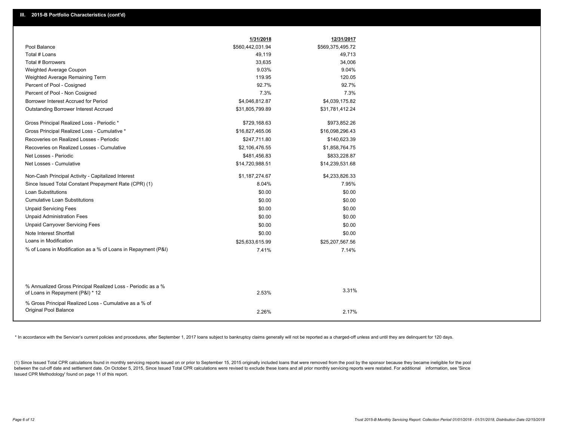|                                                                                                  | 1/31/2018        | 12/31/2017       |
|--------------------------------------------------------------------------------------------------|------------------|------------------|
| Pool Balance                                                                                     | \$560,442,031.94 | \$569,375,495.72 |
| Total # Loans                                                                                    | 49,119           | 49,713           |
| Total # Borrowers                                                                                | 33,635           | 34,006           |
| Weighted Average Coupon                                                                          | 9.03%            | 9.04%            |
| Weighted Average Remaining Term                                                                  | 119.95           | 120.05           |
| Percent of Pool - Cosigned                                                                       | 92.7%            | 92.7%            |
| Percent of Pool - Non Cosigned                                                                   | 7.3%             | 7.3%             |
| Borrower Interest Accrued for Period                                                             | \$4,046,812.87   | \$4,039,175.82   |
| <b>Outstanding Borrower Interest Accrued</b>                                                     | \$31,805,799.89  | \$31,781,412.24  |
| Gross Principal Realized Loss - Periodic *                                                       | \$729,168.63     | \$973,852.26     |
| Gross Principal Realized Loss - Cumulative *                                                     | \$16,827,465.06  | \$16,098,296.43  |
| Recoveries on Realized Losses - Periodic                                                         | \$247,711.80     | \$140,623.39     |
| Recoveries on Realized Losses - Cumulative                                                       | \$2,106,476.55   | \$1,858,764.75   |
| Net Losses - Periodic                                                                            | \$481,456.83     | \$833,228.87     |
| Net Losses - Cumulative                                                                          | \$14,720,988.51  | \$14,239,531.68  |
| Non-Cash Principal Activity - Capitalized Interest                                               | \$1,187,274.67   | \$4,233,826.33   |
| Since Issued Total Constant Prepayment Rate (CPR) (1)                                            | 8.04%            | 7.95%            |
| Loan Substitutions                                                                               | \$0.00           | \$0.00           |
| <b>Cumulative Loan Substitutions</b>                                                             | \$0.00           | \$0.00           |
| <b>Unpaid Servicing Fees</b>                                                                     | \$0.00           | \$0.00           |
| <b>Unpaid Administration Fees</b>                                                                | \$0.00           | \$0.00           |
| <b>Unpaid Carryover Servicing Fees</b>                                                           | \$0.00           | \$0.00           |
| Note Interest Shortfall                                                                          | \$0.00           | \$0.00           |
| Loans in Modification                                                                            | \$25,633,615.99  | \$25,207,567.56  |
| % of Loans in Modification as a % of Loans in Repayment (P&I)                                    | 7.41%            | 7.14%            |
|                                                                                                  |                  |                  |
|                                                                                                  |                  |                  |
| % Annualized Gross Principal Realized Loss - Periodic as a %<br>of Loans in Repayment (P&I) * 12 | 2.53%            | 3.31%            |
| % Gross Principal Realized Loss - Cumulative as a % of<br>Original Pool Balance                  |                  |                  |
|                                                                                                  | 2.26%            | 2.17%            |

\* In accordance with the Servicer's current policies and procedures, after September 1, 2017 loans subject to bankruptcy claims generally will not be reported as a charged-off unless and until they are delinquent for 120 d

(1) Since Issued Total CPR calculations found in monthly servicing reports issued on or prior to September 15, 2015 originally included loans that were removed from the pool by the sponsor because they became ineligible fo the tween the cut-off date and settlement date. On October 5, 2015, Since Issued Total CPR calculations were revised to exclude these loans and all prior monthly servicing reports were restated. For additional information, Issued CPR Methodology' found on page 11 of this report.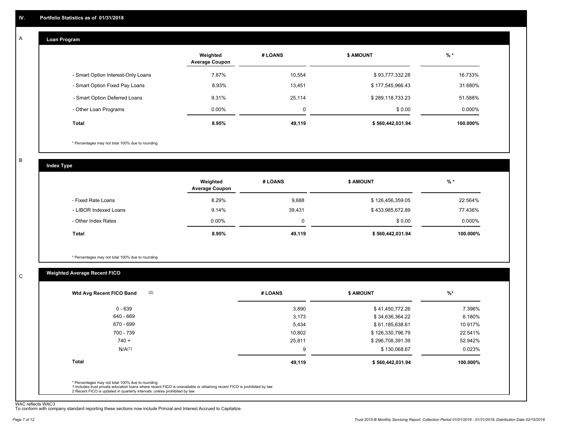#### **Loan Program**  A

|                                    | Weighted<br><b>Average Coupon</b> | # LOANS  | <b>\$ AMOUNT</b> | $%$ *     |
|------------------------------------|-----------------------------------|----------|------------------|-----------|
| - Smart Option Interest-Only Loans | 7.87%                             | 10.554   | \$93,777,332.28  | 16.733%   |
| - Smart Option Fixed Pay Loans     | 8.93%                             | 13,451   | \$177,545,966.43 | 31.680%   |
| - Smart Option Deferred Loans      | 9.31%                             | 25,114   | \$289,118,733.23 | 51.588%   |
| - Other Loan Programs              | $0.00\%$                          | $\Omega$ | \$0.00           | $0.000\%$ |
| Total                              | 8.95%                             | 49,119   | \$560,442,031.94 | 100.000%  |

\* Percentages may not total 100% due to rounding

B

 $\mathbf C$ 

| <b>Index Type</b>     |                                   |          |                  |          |
|-----------------------|-----------------------------------|----------|------------------|----------|
|                       | Weighted<br><b>Average Coupon</b> | # LOANS  | <b>\$ AMOUNT</b> | $%$ *    |
| - Fixed Rate Loans    | 8.29%                             | 9,688    | \$126,456,359.05 | 22.564%  |
| - LIBOR Indexed Loans | 9.14%                             | 39,431   | \$433,985,672.89 | 77.436%  |
| - Other Index Rates   | $0.00\%$                          | $\Omega$ | \$0.00           | 0.000%   |
| Total                 | 8.95%                             | 49,119   | \$560,442,031.94 | 100.000% |

\* Percentages may not total 100% due to rounding

# **Weighted Average Recent FICO**

|        |                  | $%$ *     |
|--------|------------------|-----------|
| 3,890  | \$41,450,772.26  | 7.396%    |
| 3,173  | \$34,636,364.22  | 6.180%    |
| 5,434  | \$61,185,638.61  | 10.917%   |
| 10,802 | \$126,330,796.79 | 22.541%   |
| 25,811 | \$296,708,391.39 | 52.942%   |
| 9      | \$130,068.67     | 0.023%    |
| 49,119 | \$560,442,031.94 | 100.000%  |
|        |                  |           |
|        | # LOANS          | \$ AMOUNT |

WAC reflects WAC3 To conform with company standard reporting these sections now include Princial and Interest Accrued to Capitalize.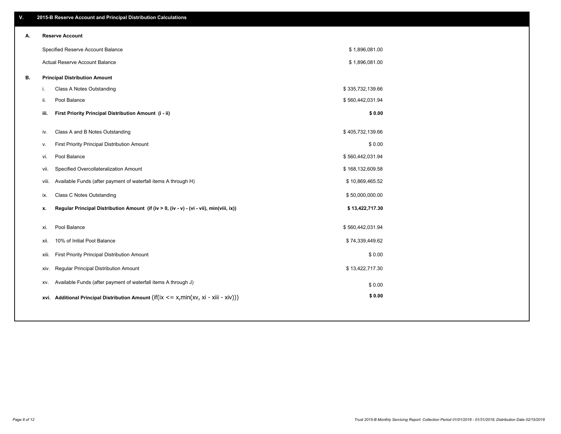| ۷. | 2015-B Reserve Account and Principal Distribution Calculations                                 |                  |  |
|----|------------------------------------------------------------------------------------------------|------------------|--|
| А. | <b>Reserve Account</b>                                                                         |                  |  |
|    | Specified Reserve Account Balance                                                              | \$1,896,081.00   |  |
|    | Actual Reserve Account Balance                                                                 | \$1,896,081.00   |  |
| В. | <b>Principal Distribution Amount</b>                                                           |                  |  |
|    | Class A Notes Outstanding<br>i.                                                                | \$335,732,139.66 |  |
|    | ii.<br>Pool Balance                                                                            | \$560,442,031.94 |  |
|    | First Priority Principal Distribution Amount (i - ii)<br>iii.                                  | \$0.00           |  |
|    | Class A and B Notes Outstanding<br>iv.                                                         | \$405,732,139.66 |  |
|    | First Priority Principal Distribution Amount<br>٧.                                             | \$0.00           |  |
|    | Pool Balance<br>vi.                                                                            | \$560,442,031.94 |  |
|    | Specified Overcollateralization Amount<br>vii.                                                 | \$168,132,609.58 |  |
|    | Available Funds (after payment of waterfall items A through H)<br>viii.                        | \$10,869,465.52  |  |
|    | Class C Notes Outstanding<br>ix.                                                               | \$50,000,000.00  |  |
|    | Regular Principal Distribution Amount (if (iv > 0, (iv - v) - (vi - vii), min(viii, ix))<br>х. | \$13,422,717.30  |  |
|    | Pool Balance                                                                                   | \$560,442,031.94 |  |
|    | xi.                                                                                            |                  |  |
|    | 10% of Initial Pool Balance<br>xii.                                                            | \$74,339,449.62  |  |
|    | First Priority Principal Distribution Amount<br>xiii.                                          | \$0.00           |  |
|    | Regular Principal Distribution Amount<br>XIV.                                                  | \$13,422,717.30  |  |
|    | Available Funds (after payment of waterfall items A through J)<br>XV.                          | \$0.00           |  |
|    | xvi. Additional Principal Distribution Amount (if(ix $\lt$ = x, min(xv, xi - xiii - xiv)))     | \$0.00           |  |
|    |                                                                                                |                  |  |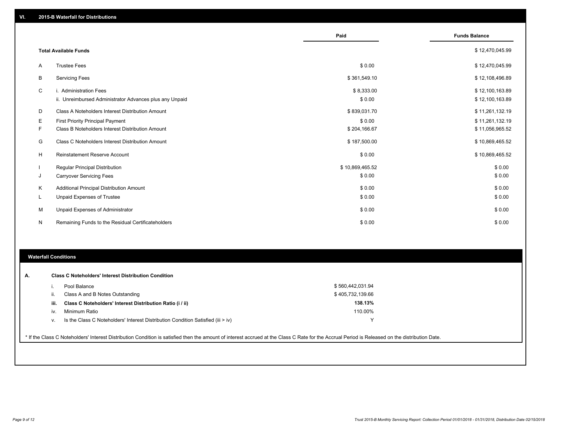|   |                                                         | Paid            | <b>Funds Balance</b> |
|---|---------------------------------------------------------|-----------------|----------------------|
|   | <b>Total Available Funds</b>                            |                 | \$12,470,045.99      |
| A | <b>Trustee Fees</b>                                     | \$0.00          | \$12,470,045.99      |
| B | <b>Servicing Fees</b>                                   | \$361,549.10    | \$12,108,496.89      |
| C | i. Administration Fees                                  | \$8,333.00      | \$12,100,163.89      |
|   | ii. Unreimbursed Administrator Advances plus any Unpaid | \$0.00          | \$12,100,163.89      |
| D | Class A Noteholders Interest Distribution Amount        | \$839,031.70    | \$11,261,132.19      |
| Е | <b>First Priority Principal Payment</b>                 | \$0.00          | \$11,261,132.19      |
| F | Class B Noteholders Interest Distribution Amount        | \$204,166.67    | \$11,056,965.52      |
| G | Class C Noteholders Interest Distribution Amount        | \$187,500.00    | \$10,869,465.52      |
| H | <b>Reinstatement Reserve Account</b>                    | \$0.00          | \$10,869,465.52      |
|   | <b>Regular Principal Distribution</b>                   | \$10,869,465.52 | \$0.00               |
| J | <b>Carryover Servicing Fees</b>                         | \$0.00          | \$0.00               |
| Κ | Additional Principal Distribution Amount                | \$0.00          | \$0.00               |
| L | Unpaid Expenses of Trustee                              | \$0.00          | \$0.00               |
| M | Unpaid Expenses of Administrator                        | \$0.00          | \$0.00               |
| N | Remaining Funds to the Residual Certificateholders      | \$0.00          | \$0.00               |

### **Waterfall Conditions**

|      | Pool Balance                                                                       | \$560,442,031.94 |  |
|------|------------------------------------------------------------------------------------|------------------|--|
|      | Class A and B Notes Outstanding                                                    | \$405,732,139.66 |  |
| iii. | Class C Noteholders' Interest Distribution Ratio (i / ii)                          | 138.13%          |  |
| iv.  | Minimum Ratio                                                                      | 110.00%          |  |
| V.   | Is the Class C Noteholders' Interest Distribution Condition Satisfied (iii $>$ iv) |                  |  |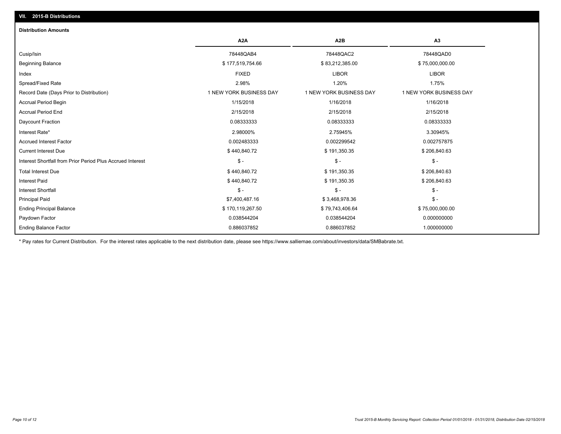| <b>Distribution Amounts</b>                                |                         |                         |                         |
|------------------------------------------------------------|-------------------------|-------------------------|-------------------------|
|                                                            | A <sub>2</sub> A        | A <sub>2</sub> B        | A <sub>3</sub>          |
| Cusip/Isin                                                 | 78448QAB4               | 78448QAC2               | 78448QAD0               |
| <b>Beginning Balance</b>                                   | \$177,519,754.66        | \$83,212,385.00         | \$75,000,000.00         |
| Index                                                      | <b>FIXED</b>            | <b>LIBOR</b>            | <b>LIBOR</b>            |
| Spread/Fixed Rate                                          | 2.98%                   | 1.20%                   | 1.75%                   |
| Record Date (Days Prior to Distribution)                   | 1 NEW YORK BUSINESS DAY | 1 NEW YORK BUSINESS DAY | 1 NEW YORK BUSINESS DAY |
| <b>Accrual Period Begin</b>                                | 1/15/2018               | 1/16/2018               | 1/16/2018               |
| <b>Accrual Period End</b>                                  | 2/15/2018               | 2/15/2018               | 2/15/2018               |
| Daycount Fraction                                          | 0.08333333              | 0.08333333              | 0.08333333              |
| Interest Rate*                                             | 2.98000%                | 2.75945%                | 3.30945%                |
| <b>Accrued Interest Factor</b>                             | 0.002483333             | 0.002299542             | 0.002757875             |
| <b>Current Interest Due</b>                                | \$440,840.72            | \$191,350.35            | \$206,840.63            |
| Interest Shortfall from Prior Period Plus Accrued Interest | $\mathsf{\$}$ -         | $\mathsf{\$}$ -         | $\frac{2}{3}$ -         |
| <b>Total Interest Due</b>                                  | \$440,840.72            | \$191,350.35            | \$206,840.63            |
| Interest Paid                                              | \$440,840.72            | \$191,350.35            | \$206,840.63            |
| <b>Interest Shortfall</b>                                  | $\mathsf{\$}$ -         | $\mathsf{\$}$ -         | $\frac{2}{3}$ -         |
| <b>Principal Paid</b>                                      | \$7,400,487.16          | \$3,468,978.36          | $\frac{2}{3}$ -         |
| <b>Ending Principal Balance</b>                            | \$170,119,267.50        | \$79,743,406.64         | \$75,000,000.00         |
| Paydown Factor                                             | 0.038544204             | 0.038544204             | 0.000000000             |
| <b>Ending Balance Factor</b>                               | 0.886037852             | 0.886037852             | 1.000000000             |

\* Pay rates for Current Distribution. For the interest rates applicable to the next distribution date, please see https://www.salliemae.com/about/investors/data/SMBabrate.txt.

**VII. 2015-B Distributions**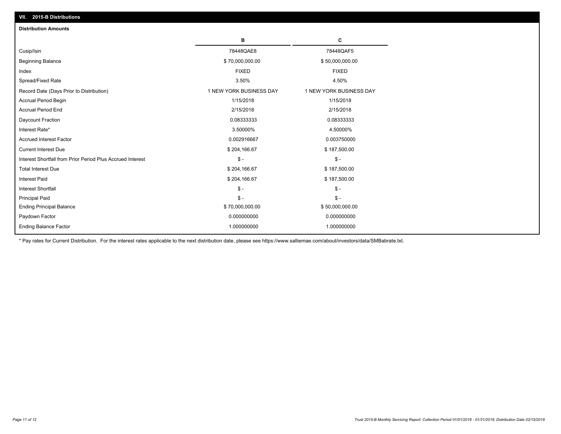| $-919$ $-919$ throughout<br><b>Distribution Amounts</b>    |                         |                         |
|------------------------------------------------------------|-------------------------|-------------------------|
|                                                            |                         |                         |
|                                                            | В                       | c                       |
| Cusip/Isin                                                 | 78448QAE8               | 78448QAF5               |
| <b>Beginning Balance</b>                                   | \$70,000,000.00         | \$50,000,000.00         |
| Index                                                      | <b>FIXED</b>            | <b>FIXED</b>            |
| Spread/Fixed Rate                                          | 3.50%                   | 4.50%                   |
| Record Date (Days Prior to Distribution)                   | 1 NEW YORK BUSINESS DAY | 1 NEW YORK BUSINESS DAY |
| Accrual Period Begin                                       | 1/15/2018               | 1/15/2018               |
| <b>Accrual Period End</b>                                  | 2/15/2018               | 2/15/2018               |
| Daycount Fraction                                          | 0.08333333              | 0.08333333              |
| Interest Rate*                                             | 3.50000%                | 4.50000%                |
| Accrued Interest Factor                                    | 0.002916667             | 0.003750000             |
| <b>Current Interest Due</b>                                | \$204,166.67            | \$187,500.00            |
| Interest Shortfall from Prior Period Plus Accrued Interest | $\mathsf{\$}$ -         | $\frac{1}{2}$           |
| <b>Total Interest Due</b>                                  | \$204,166.67            | \$187,500.00            |
| <b>Interest Paid</b>                                       | \$204,166.67            | \$187,500.00            |
| <b>Interest Shortfall</b>                                  | $\frac{2}{3}$ -         | $\mathsf{\$}$ -         |
| <b>Principal Paid</b>                                      | $\frac{2}{3}$ -         | $\frac{2}{3}$ -         |
| <b>Ending Principal Balance</b>                            | \$70,000,000.00         | \$50,000,000.00         |
| Paydown Factor                                             | 0.000000000             | 0.000000000             |
| <b>Ending Balance Factor</b>                               | 1.000000000             | 1.000000000             |

\* Pay rates for Current Distribution. For the interest rates applicable to the next distribution date, please see https://www.salliemae.com/about/investors/data/SMBabrate.txt.

**VII. 2015-B Distributions**